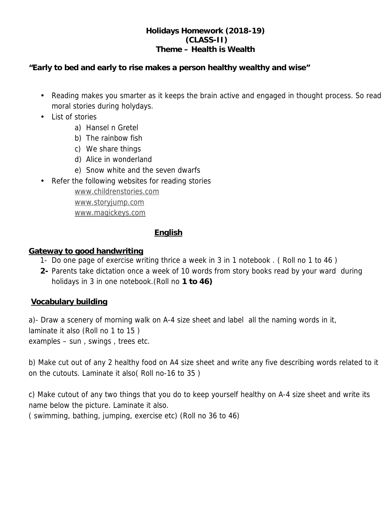## **Holidays Homework (2018-19) (CLASS-II) Theme – Health is Wealth**

**"Early to bed and early to rise makes a person healthy wealthy and wise"**

- Reading makes you smarter as it keeps the brain active and engaged in thought process. So read moral stories during holydays.
- List of stories
	- a) Hansel n Gretel
	- b) The rainbow fish
	- c) We share things
	- d) Alice in wonderland
	- e) Snow white and the seven dwarfs
- Refer the following websites for reading stories www.childrenstories.com

www.storyjump.com

www.magickeys.com

# **English**

# **Gateway to good handwriting**

- 1- Do one page of exercise writing thrice a week in 3 in 1 notebook . ( Roll no 1 to 46 )
- **2-** Parents take dictation once a week of 10 words from story books read by your ward during holidays in 3 in one notebook.(Roll no **1 to 46)**

# **Vocabulary building**

a)- Draw a scenery of morning walk on A-4 size sheet and label all the naming words in it, laminate it also (Roll no 1 to 15 ) examples – sun , swings , trees etc.

b) Make cut out of any 2 healthy food on A4 size sheet and write any five describing words related to it on the cutouts. Laminate it also( Roll no-16 to 35 )

c) Make cutout of any two things that you do to keep yourself healthy on A-4 size sheet and write its name below the picture. Laminate it also.

( swimming, bathing, jumping, exercise etc) (Roll no 36 to 46)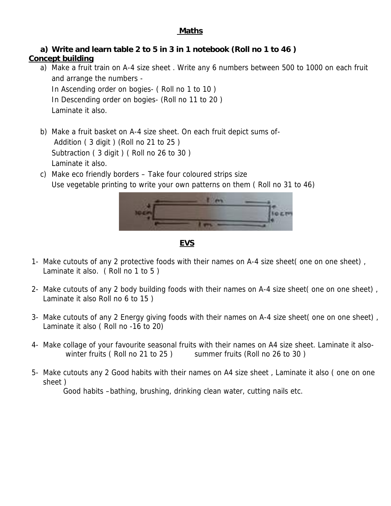### **Maths**

**a) Write and learn table 2 to 5 in 3 in 1 notebook (Roll no 1 to 46 )**

## **Concept building**

- a) Make a fruit train on A-4 size sheet . Write any 6 numbers between 500 to 1000 on each fruit and arrange the numbers - In Ascending order on bogies- ( Roll no 1 to 10 ) In Descending order on bogies- (Roll no 11 to 20 ) Laminate it also.
- b) Make a fruit basket on A-4 size sheet. On each fruit depict sums of- Addition ( 3 digit ) (Roll no 21 to 25 ) Subtraction (3 digit) (Roll no 26 to 30) Laminate it also.
- c) Make eco friendly borders Take four coloured strips size Use vegetable printing to write your own patterns on them ( Roll no 31 to 46)



**EVS**

- 1- Make cutouts of any 2 protective foods with their names on A-4 size sheet( one on one sheet),<br>Laminate it also. ( Roll no 1 to 5 )
- 2- Make cutouts of any 2 body building foods with their names on A-4 size sheet( one on one sheet) , Laminate it also Roll no 6 to 15 )
- 3- Make cutouts of any 2 Energy giving foods with their names on A-4 size sheet( one on one sheet) , Laminate it also ( Roll no -16 to 20)
- 4- Make collage of your favourite seasonal fruits with their names on A4 size sheet. Laminate it also winter fruits (Roll no 21 to 25) summer fruits (Roll no 26 to 30)
- 5- Make cutouts any 2 Good habits with their names on A4 size sheet , Laminate it also ( one on one sheet )

Good habits –bathing, brushing, drinking clean water, cutting nails etc.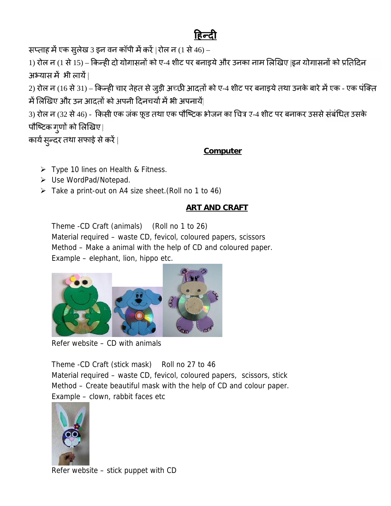सप्ताह में एक सुलेख 3 इन वन कॉपी में करें | रोल न (1 से 46) –

1) रोल न (1 से 15) – किन्ही दो योगासनों को ए-4 शीट पर बनाइये और उनका नाम लिखिए |इन योगासनों को प्रतिदिन अभ्यास में भी लायें |

2) रोल न (16 से 31) – किन्ही चार सेहत से जुड़ी अच्छी आदतों को ए-4 शीट पर बनाइये तथा उनके बारे में एक - एक पक्ति में लिखिए और उन आदतों को अपनी दिनचर्या में भी अपनायें|

अभ्यास में भी लायें |<br>2) रोल न (16 से 31) – किन्ही चार सेहत से जुड़ी अच्छी आदतों को ए-4 शीट पर बनाइये तथा उनके बारे में एक - एक पंक्ति<br>में लिखिए और उन आदतों को अपनी दिनचर्या में भी अपनायें|<br>3) रोल न (32 से 46) - किसी एक पौष्टिक ग्र्णों को लिखिए |

कार्य सुन्दर तथा सफाई से करें |

## **Computer**

- $\triangleright$  Type 10 lines on Health & Fitness.
- Use WordPad/Notepad.
- Take a print-out on A4 size sheet.(Roll no 1 to 46)

# **ART AND CRAFT**

Theme -CD Craft (animals) (Roll no 1 to 26) Material required – waste CD, fevicol, coloured papers, scissors Method – Make a animal with the help of CD and coloured paper. Example – elephant, lion, hippo etc.



Refer website – CD with animals

Theme -CD Craft (stick mask) Roll no 27 to 46 Material required – waste CD, fevicol, coloured papers, scissors, stick Method – Create beautiful mask with the help of CD and colour paper. Example – clown, rabbit faces etc



Refer website – stick puppet with CD